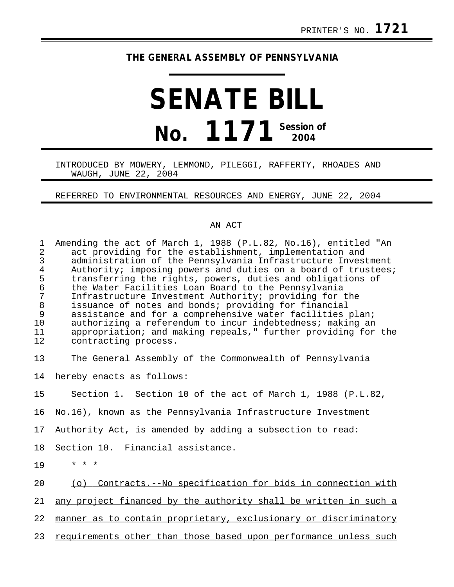## **THE GENERAL ASSEMBLY OF PENNSYLVANIA**

## **SENATE BILL No. 1171 Session of 2004**

## INTRODUCED BY MOWERY, LEMMOND, PILEGGI, RAFFERTY, RHOADES AND WAUGH, JUNE 22, 2004

REFERRED TO ENVIRONMENTAL RESOURCES AND ENERGY, JUNE 22, 2004

## AN ACT

| $\mathbf{1}$<br>$\overline{2}$<br>$\mathfrak{Z}$<br>$\overline{4}$<br>5<br>$\epsilon$<br>7<br>$\,8\,$<br>9<br>10<br>11<br>12 | Amending the act of March 1, 1988 (P.L.82, No.16), entitled "An<br>act providing for the establishment, implementation and<br>administration of the Pennsylvania Infrastructure Investment<br>Authority; imposing powers and duties on a board of trustees;<br>transferring the rights, powers, duties and obligations of<br>the Water Facilities Loan Board to the Pennsylvania<br>Infrastructure Investment Authority; providing for the<br>issuance of notes and bonds; providing for financial<br>assistance and for a comprehensive water facilities plan;<br>authorizing a referendum to incur indebtedness; making an<br>appropriation; and making repeals," further providing for the<br>contracting process. |
|------------------------------------------------------------------------------------------------------------------------------|-----------------------------------------------------------------------------------------------------------------------------------------------------------------------------------------------------------------------------------------------------------------------------------------------------------------------------------------------------------------------------------------------------------------------------------------------------------------------------------------------------------------------------------------------------------------------------------------------------------------------------------------------------------------------------------------------------------------------|
| 13                                                                                                                           | The General Assembly of the Commonwealth of Pennsylvania                                                                                                                                                                                                                                                                                                                                                                                                                                                                                                                                                                                                                                                              |
| 14                                                                                                                           | hereby enacts as follows:                                                                                                                                                                                                                                                                                                                                                                                                                                                                                                                                                                                                                                                                                             |
| 15                                                                                                                           | Section 1. Section 10 of the act of March 1, 1988 (P.L.82,                                                                                                                                                                                                                                                                                                                                                                                                                                                                                                                                                                                                                                                            |
| 16                                                                                                                           | No.16), known as the Pennsylvania Infrastructure Investment                                                                                                                                                                                                                                                                                                                                                                                                                                                                                                                                                                                                                                                           |
| 17                                                                                                                           | Authority Act, is amended by adding a subsection to read:                                                                                                                                                                                                                                                                                                                                                                                                                                                                                                                                                                                                                                                             |
| 18                                                                                                                           | Section 10. Financial assistance.                                                                                                                                                                                                                                                                                                                                                                                                                                                                                                                                                                                                                                                                                     |
| 19                                                                                                                           | $* * *$                                                                                                                                                                                                                                                                                                                                                                                                                                                                                                                                                                                                                                                                                                               |
| 20                                                                                                                           | (o) Contracts.--No specification for bids in connection with                                                                                                                                                                                                                                                                                                                                                                                                                                                                                                                                                                                                                                                          |
| 21                                                                                                                           | any project financed by the authority shall be written in such a                                                                                                                                                                                                                                                                                                                                                                                                                                                                                                                                                                                                                                                      |
| 22                                                                                                                           | manner as to contain proprietary, exclusionary or discriminatory                                                                                                                                                                                                                                                                                                                                                                                                                                                                                                                                                                                                                                                      |
| 23                                                                                                                           | requirements other than those based upon performance unless such                                                                                                                                                                                                                                                                                                                                                                                                                                                                                                                                                                                                                                                      |